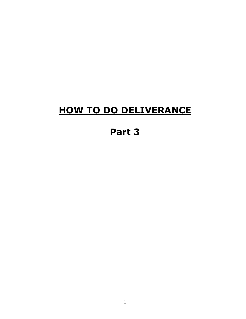# **HOW TO DO DELIVERANCE**

# **Part 3**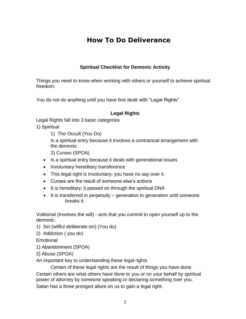# **How To Do Deliverance**

#### **Spiritual Checklist for Demonic Activity**

Things you need to know when working with others or yourself to achieve spiritual freedom:

You do not do anything until you have first dealt with "Legal Rights"

#### **Legal Rights**

Legal Rights fall into 3 basic categories

1) Spiritual

1) The Occult (You Do)

Is a spiritual entry because it involves a contractual arrangement with the demonic

2) Curses (SPOA)

• Is a spiritual entry because it deals with generational issues

• Involuntary hereditary transference

• This legal right is involuntary; you have no say over it.

• Curses are the result of someone else's actions

• It is hereditary; it passed on through the spiritual DNA

• It is transferred in perpetuity – generation to generation until someone breaks it.

Volitional (Involves the will) - acts that you commit to open yourself up to the demonic.

1) Sin (willful deliberate sin) (You do)

2) Addiction ( you do)

Emotional

1) Abandonment (SPOA)

2) Abuse (SPOA)

An important key to understanding these legal rights

Certain of these legal rights are the result of things you have done

Certain others are what others have done to you or on your behalf by spiritual power of attorney by someone speaking or declaring something over you.

Satan has a three pronged allure on us to gain a legal right.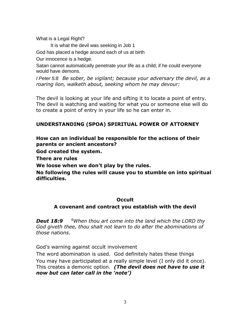What is a Legal Right?

It is what the devil was seeking in Job 1

God has placed a hedge around each of us at birth

Our innocence is a hedge.

Satan cannot automatically penetrate your life as a child; if he could everyone would have demons.

*I Peter 5:8 Be sober, be vigilant; because your adversary the devil, as a roaring lion, walketh about, seeking whom he may devour:*

The devil is looking at your life and sifting it to locate a point of entry. The devil is watching and waiting for what you or someone else will do to create a point of entry in your life so he can enter in.

### **UNDERSTANDING (SPOA) SPIRITUAL POWER OF ATTORNEY**

**How can an individual be responsible for the actions of their parents or ancient ancestors?**

**God created the system.**

**There are rules**

**We loose when we don't play by the rules.**

**No following the rules will cause you to stumble on into spiritual difficulties.**

#### **Occult**

#### **A covenant and contract you establish with the devil**

*Deut 18:9 <sup>9</sup>When thou art come into the land which the LORD thy God giveth thee, thou shalt not learn to do after the abominations of those nations.*

God's warning against occult involvement

The word abomination is used. God definitely hates these things You may have participated at a really simple level (I only did it once). This creates a demonic option. *(The devil does not have to use it now but can later call in the 'note')*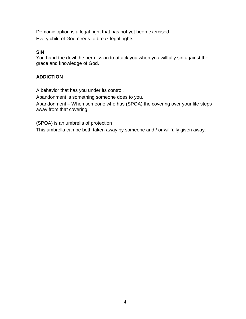Demonic option is a legal right that has not yet been exercised. Every child of God needs to break legal rights.

#### **SIN**

You hand the devil the permission to attack you when you willfully sin against the grace and knowledge of God.

#### **ADDICTION**

A behavior that has you under its control.

Abandonment is something someone does to you.

Abandonment – When someone who has (SPOA) the covering over your life steps away from that covering.

(SPOA) is an umbrella of protection

This umbrella can be both taken away by someone and / or willfully given away.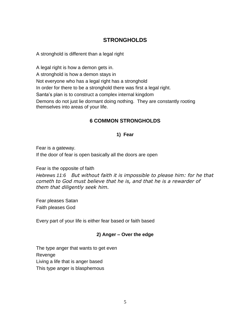### **STRONGHOLDS**

A stronghold is different than a legal right

A legal right is how a demon gets in. A stronghold is how a demon stays in Not everyone who has a legal right has a stronghold In order for there to be a stronghold there was first a legal right. Santa's plan is to construct a complex internal kingdom Demons do not just lie dormant doing nothing. They are constantly rooting themselves into areas of your life.

#### **6 COMMON STRONGHOLDS**

#### **1) Fear**

Fear is a gateway.

If the door of fear is open basically all the doors are open

Fear is the opposite of faith

*Hebrews 11:6 But without faith it is impossible to please him: for he that cometh to God must believe that he is, and that he is a rewarder of them that diligently seek him.*

Fear pleases Satan Faith pleases God

Every part of your life is either fear based or faith based

#### **2) Anger – Over the edge**

The type anger that wants to get even Revenge Living a life that is anger based This type anger is blasphemous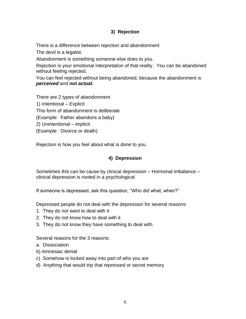#### **3) Rejection**

There is a difference between rejection and abandonment

The devil is a legalist.

Abandonment is something someone else does to you.

Rejection is your emotional interpretation of that reality. You can be abandoned without feeling rejected.

You can feel rejected without being abandoned, because the abandonment is *perceived* and *not actual.*

There are 2 types of abandonment 1) Intentional – Explicit This form of abandonment is deliberate (Example: Father abandons a baby) 2) Unintentional – implicit

(Example: Divorce or death)

Rejection is how you feel about what is done to you

#### **4) Depression**

Sometimes this can be cause by clinical depression – Hormonal imbalance – clinical depression is rooted in a psychological

If someone is depressed, ask this question, "Who did what, when?"

Depressed people do not deal with the depression for several reasons:

- 1. They do not want to deal with it
- 2. They do not know how to deal with it
- 3. They do not know they have something to deal with.

Several reasons for the 3 reasons:

- a. Dissociation
- b) Amnesiac denial
- c) Somehow is locked away into part of who you are
- d) Anything that would trip that repressed or secret memory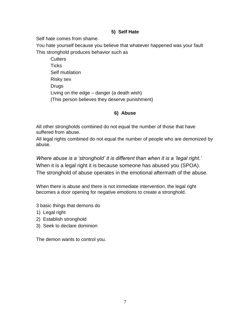#### **5) Self Hate**

Self hate comes from shame.

You hate yourself because you believe that whatever happened was your fault This stronghold produces behavior such as

**Cutters Ticks** Self mutilation Risky sex Drugs Living on the edge – danger (a death wish) (This person believes they deserve punishment)

#### **6) Abuse**

All other strongholds combined do not equal the number of those that have suffered from abuse.

All legal rights combined do not equal the number of people who are demonized by abuse.

*Where abuse is a 'stronghold' it is different than when it is a 'legal right.'* When it is a legal right it is because someone has abused you (SPOA). The stronghold of abuse operates in the emotional aftermath of the abuse.

When there is abuse and there is not immediate intervention, the legal right becomes a door opening for negative emotions to create a stronghold.

3 basic things that demons do

- 1) Legal right
- 2) Establish stronghold
- 3) Seek to declare dominion

The demon wants to control you.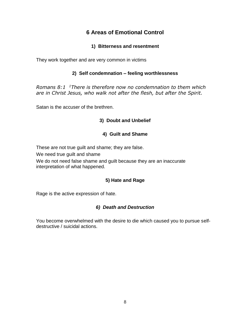## **6 Areas of Emotional Control**

#### **1) Bitterness and resentment**

They work together and are very common in victims

#### **2) Self condemnation – feeling worthlessness**

*Romans 8:1 <sup>1</sup>There is therefore now no condemnation to them which are in Christ Jesus, who walk not after the flesh, but after the Spirit.*

Satan is the accuser of the brethren.

#### **3) Doubt and Unbelief**

#### **4) Guilt and Shame**

These are not true guilt and shame; they are false.

We need true guilt and shame

We do not need false shame and guilt because they are an inaccurate interpretation of what happened.

#### **5) Hate and Rage**

Rage is the active expression of hate.

#### *6) Death and Destruction*

You become overwhelmed with the desire to die which caused you to pursue selfdestructive / suicidal actions.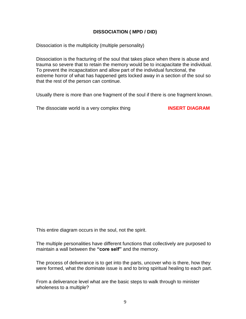#### **DISSOCIATION ( MPD / DID)**

Dissociation is the multiplicity (multiple personality)

Dissociation is the fracturing of the soul that takes place when there is abuse and trauma so severe that to retain the memory would be to incapacitate the individual. To prevent the incapacitation and allow part of the individual functional, the extreme horror of what has happened gets locked away in a section of the soul so that the rest of the person can continue.

Usually there is more than one fragment of the soul if there is one fragment known.

The dissociate world is a very complex thing **INSERT DIAGRAM**

This entire diagram occurs in the soul, not the spirit.

The multiple personalities have different functions that collectively are purposed to maintain a wall between the **"core self"** and the memory.

The process of deliverance is to get into the parts, uncover who is there, how they were formed, what the dominate issue is and to bring spiritual healing to each part.

From a deliverance level what are the basic steps to walk through to minister wholeness to a multiple?